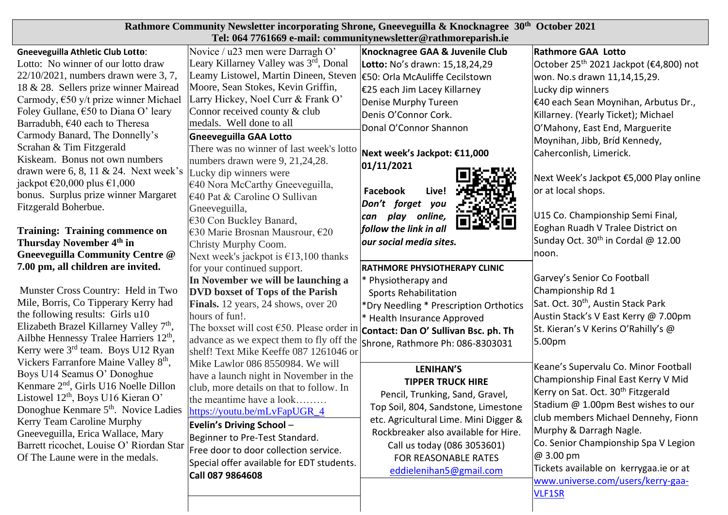| Rathmore Community Newsletter incorporating Shrone, Gneeveguilla & Knocknagree 30 <sup>th</sup> October 2021<br>Tel: 064 7761669 e-mail: communitynewsletter@rathmoreparish.ie                                                                                                                                                                                                                                                                                                                                                                                                                                                                                                                                                                                                                                                                                                                                                                                                                                                                                   |                                                                                                                                                                                                                                                                                                                                                                                                                                            |                                                                                                                                                                                                                                                                                                      |                                                                                                                                                                                                                                                                                                                                                                                               |  |
|------------------------------------------------------------------------------------------------------------------------------------------------------------------------------------------------------------------------------------------------------------------------------------------------------------------------------------------------------------------------------------------------------------------------------------------------------------------------------------------------------------------------------------------------------------------------------------------------------------------------------------------------------------------------------------------------------------------------------------------------------------------------------------------------------------------------------------------------------------------------------------------------------------------------------------------------------------------------------------------------------------------------------------------------------------------|--------------------------------------------------------------------------------------------------------------------------------------------------------------------------------------------------------------------------------------------------------------------------------------------------------------------------------------------------------------------------------------------------------------------------------------------|------------------------------------------------------------------------------------------------------------------------------------------------------------------------------------------------------------------------------------------------------------------------------------------------------|-----------------------------------------------------------------------------------------------------------------------------------------------------------------------------------------------------------------------------------------------------------------------------------------------------------------------------------------------------------------------------------------------|--|
| <b>Gneeveguilla Athletic Club Lotto:</b><br>Lotto: No winner of our lotto draw<br>22/10/2021, numbers drawn were 3, 7,<br>18 & 28. Sellers prize winner Mairead<br>Carmody, $\epsilon$ 50 y/t prize winner Michael<br>Foley Gullane, €50 to Diana O' leary<br>Barradubh, €40 each to Theresa<br>Carmody Banard, The Donnelly's<br>Scrahan & Tim Fitzgerald<br>Kiskeam. Bonus not own numbers<br>drawn were $6, 8, 11 \& 24$ . Next week's<br>jackpot $\epsilon$ 20,000 plus $\epsilon$ 1,000                                                                                                                                                                                                                                                                                                                                                                                                                                                                                                                                                                     | Novice / u23 men were Darragh O'<br>Leary Killarney Valley was 3rd, Donal<br>Leamy Listowel, Martin Dineen, Steven<br>Moore, Sean Stokes, Kevin Griffin,<br>Larry Hickey, Noel Curr & Frank O'<br>Connor received county & club<br>medals. Well done to all<br><b>Gneeveguilla GAA Lotto</b><br>There was no winner of last week's lotto<br>numbers drawn were 9, 21, 24, 28.<br>Lucky dip winners were<br>€40 Nora McCarthy Gneeveguilla, | Knocknagree GAA & Juvenile Club<br>Lotto: No's drawn: 15,18,24,29<br>E50: Orla McAuliffe Cecilstown<br>E25 each Jim Lacey Killarney<br>Denise Murphy Tureen<br>Denis O'Connor Cork.<br>Donal O'Connor Shannon<br>Next week's Jackpot: €11,000<br>01/11/2021<br>Facebook<br>Live!                     | <b>Rathmore GAA Lotto</b><br>October 25 <sup>th</sup> 2021 Jackpot (€4,800) not<br>won. No.s drawn 11,14,15,29.<br>Lucky dip winners<br>€40 each Sean Moynihan, Arbutus Dr.,<br>Killarney. (Yearly Ticket); Michael<br>O'Mahony, East End, Marguerite<br>Moynihan, Jibb, Bríd Kennedy,<br>Caherconlish, Limerick.<br>Next Week's Jackpot €5,000 Play online<br>or at local shops.             |  |
| bonus. Surplus prize winner Margaret<br>$\epsilon$ 40 Pat & Caroline O Sullivan<br>Fitzgerald Boherbue.<br>Gneeveguilla,<br><b>Training: Training commence on</b><br>Thursday November 4 <sup>th</sup> in<br>Christy Murphy Coom.<br>Gneeveguilla Community Centre @<br>7.00 pm, all children are invited.<br>Munster Cross Country: Held in Two<br>Mile, Borris, Co Tipperary Kerry had<br>the following results: Girls u10<br>hours of fun!.<br>Elizabeth Brazel Killarney Valley 7 <sup>th</sup> ,<br>Ailbhe Hennessy Tralee Harriers 12 <sup>th</sup> ,<br>Kerry were 3 <sup>rd</sup> team. Boys U12 Ryan<br>shelf! Text Mike Keeffe 087 1261046 or<br>Vickers Farranfore Maine Valley 8th,<br>Boys U14 Seamus O' Donoghue<br>Kenmare 2 <sup>nd</sup> , Girls U16 Noelle Dillon<br>Listowel 12 <sup>th</sup> , Boys U16 Kieran O'<br>Donoghue Kenmare 5 <sup>th</sup> . Novice Ladies<br>Kerry Team Caroline Murphy<br>Gneeveguilla, Erica Wallace, Mary<br>Barrett ricochet, Louise O' Riordan Star<br>Of The Laune were in the medals.<br>Call 087 9864608 | €30 Con Buckley Banard,<br>€30 Marie Brosnan Mausrour, €20<br>Next week's jackpot is $\epsilon$ 13,100 thanks<br>for your continued support.<br>In November we will be launching a<br><b>DVD</b> boxset of Tops of the Parish<br>Finals. 12 years, 24 shows, over 20<br>The boxset will cost $650$ . Please order in <b>Contact: Dan O' Sullivan Bsc. ph. Th</b><br>advance as we expect them to fly off the                               | Don't forget<br>you<br>play online,<br>can<br>follow the link in all<br>our social media sites.<br>RATHMORE PHYSIOTHERAPY CLINIC<br>* Physiotherapy and<br><b>Sports Rehabilitation</b><br>*Dry Needling * Prescription Orthotics<br>* Health Insurance Approved<br>Shrone, Rathmore Ph: 086-8303031 | U15 Co. Championship Semi Final,<br>Eoghan Ruadh V Tralee District on<br>Sunday Oct. 30 <sup>th</sup> in Cordal @ 12.00<br>noon.<br>Garvey's Senior Co Football<br>Championship Rd 1<br>Sat. Oct. 30 <sup>th</sup> , Austin Stack Park<br>Austin Stack's V East Kerry @ 7.00pm<br>St. Kieran's V Kerins O'Rahilly's @<br>5.00pm                                                               |  |
|                                                                                                                                                                                                                                                                                                                                                                                                                                                                                                                                                                                                                                                                                                                                                                                                                                                                                                                                                                                                                                                                  | Mike Lawlor 086 8550984. We will<br>have a launch night in November in the<br>club, more details on that to follow. In<br>the meantime have a look<br>https://youtu.be/mLvFapUGR_4<br>Evelin's Driving School -<br>Beginner to Pre-Test Standard.<br>Free door to door collection service.<br>Special offer available for EDT students.                                                                                                    | <b>LENIHAN'S</b><br><b>TIPPER TRUCK HIRE</b><br>Pencil, Trunking, Sand, Gravel,<br>Top Soil, 804, Sandstone, Limestone<br>etc. Agricultural Lime. Mini Digger &<br>Rockbreaker also available for Hire.<br>Call us today (086 3053601)<br>FOR REASONABLE RATES<br>eddielenihan5@gmail.com            | Keane's Supervalu Co. Minor Football<br>Championship Final East Kerry V Mid<br>Kerry on Sat. Oct. 30 <sup>th</sup> Fitzgerald<br>Stadium @ 1.00pm Best wishes to our<br>club members Michael Dennehy, Fionn<br>Murphy & Darragh Nagle.<br>Co. Senior Championship Spa V Legion<br>$ @3.00$ pm<br>Tickets available on kerrygaa.ie or at<br>www.universe.com/users/kerry-gaa-<br><b>VLF1SR</b> |  |